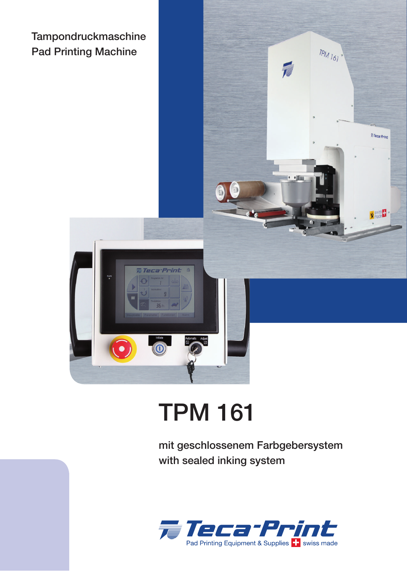



 $TPM_{161}$ 

## TPM 161

mit geschlossenem Farbgebersystem with sealed inking system